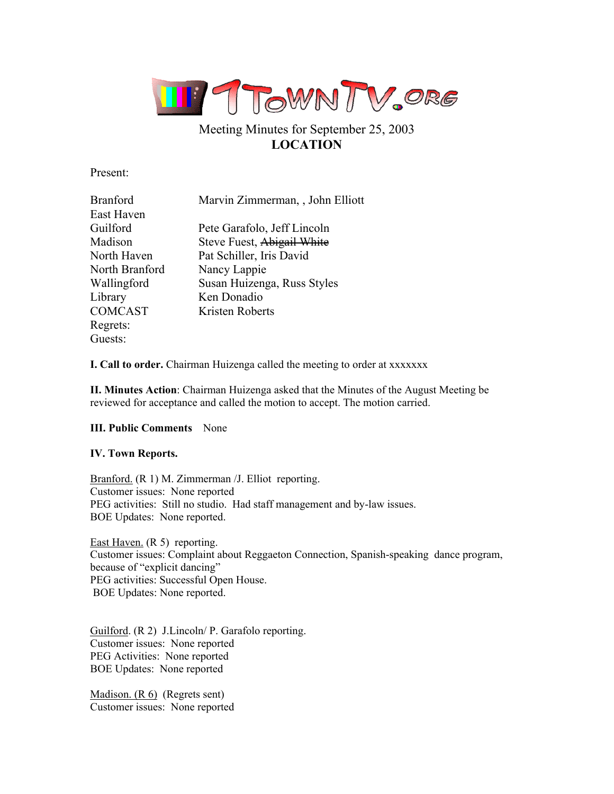

# Meeting Minutes for September 25, 2003 **LOCATION**

Present:

| <b>Branford</b> | Marvin Zimmerman, , John Elliott |
|-----------------|----------------------------------|
| East Haven      |                                  |
| Guilford        | Pete Garafolo, Jeff Lincoln      |
| Madison         | Steve Fuest, Abigail White       |
| North Haven     | Pat Schiller, Iris David         |
| North Branford  | Nancy Lappie                     |
| Wallingford     | Susan Huizenga, Russ Styles      |
| Library         | Ken Donadio                      |
| <b>COMCAST</b>  | Kristen Roberts                  |
| Regrets:        |                                  |
| Guests:         |                                  |

**I. Call to order.** Chairman Huizenga called the meeting to order at xxxxxxx

**II. Minutes Action**: Chairman Huizenga asked that the Minutes of the August Meeting be reviewed for acceptance and called the motion to accept. The motion carried.

## **III. Public Comments** None

## **IV. Town Reports.**

Branford. (R 1) M. Zimmerman /J. Elliot reporting. Customer issues: None reported PEG activities: Still no studio. Had staff management and by-law issues. BOE Updates: None reported.

East Haven. (R 5) reporting. Customer issues: Complaint about Reggaeton Connection, Spanish-speaking dance program, because of "explicit dancing" PEG activities: Successful Open House. BOE Updates: None reported.

Guilford. (R 2) J.Lincoln/ P. Garafolo reporting. Customer issues: None reported PEG Activities: None reported BOE Updates: None reported

Madison. (R 6) (Regrets sent) Customer issues: None reported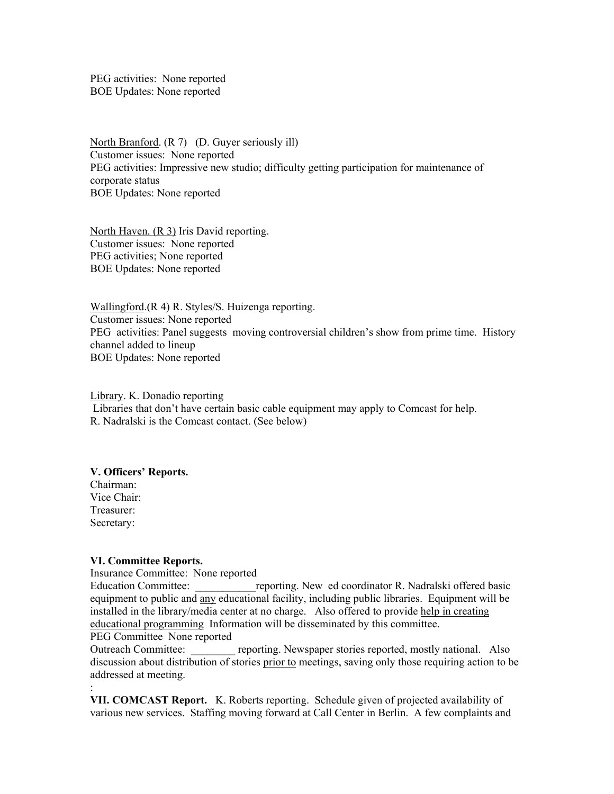PEG activities: None reported BOE Updates: None reported

North Branford. (R 7) (D. Guyer seriously ill) Customer issues: None reported PEG activities: Impressive new studio; difficulty getting participation for maintenance of corporate status BOE Updates: None reported

North Haven. (R 3) Iris David reporting. Customer issues: None reported PEG activities; None reported BOE Updates: None reported

Wallingford.(R 4) R. Styles/S. Huizenga reporting. Customer issues: None reported PEG activities: Panel suggests moving controversial children's show from prime time. History channel added to lineup BOE Updates: None reported

Library. K. Donadio reporting Libraries that don't have certain basic cable equipment may apply to Comcast for help. R. Nadralski is the Comcast contact. (See below)

#### **V. Officers' Reports.**

Chairman: Vice Chair: Treasurer: Secretary:

:

#### **VI. Committee Reports.**

Insurance Committee: None reported

Education Committee: The energy reporting. New ed coordinator R. Nadralski offered basic equipment to public and any educational facility, including public libraries. Equipment will be installed in the library/media center at no charge. Also offered to provide help in creating educational programming Information will be disseminated by this committee.

PEG Committee None reported

Outreach Committee: \_\_\_\_\_\_\_\_ reporting. Newspaper stories reported, mostly national. Also discussion about distribution of stories prior to meetings, saving only those requiring action to be addressed at meeting.

**VII. COMCAST Report.** K. Roberts reporting. Schedule given of projected availability of various new services. Staffing moving forward at Call Center in Berlin. A few complaints and